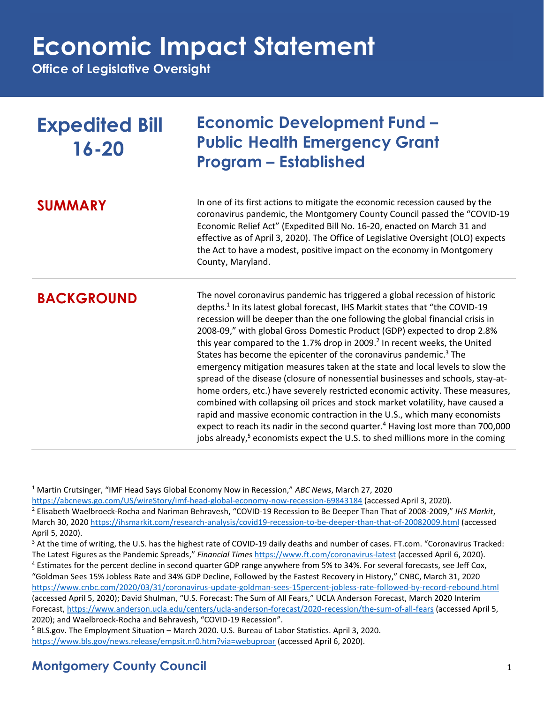**Office of Legislative Oversight**

| <b>Expedited Bill</b><br>$16 - 20$ | <b>Economic Development Fund -</b><br><b>Public Health Emergency Grant</b><br><b>Program - Established</b>                                                                                                                                                                                                                                                                                                                                                                                                                                                                                                                                                                                                                                                                                                                                                                                                                                                                                                                                                                                                                       |
|------------------------------------|----------------------------------------------------------------------------------------------------------------------------------------------------------------------------------------------------------------------------------------------------------------------------------------------------------------------------------------------------------------------------------------------------------------------------------------------------------------------------------------------------------------------------------------------------------------------------------------------------------------------------------------------------------------------------------------------------------------------------------------------------------------------------------------------------------------------------------------------------------------------------------------------------------------------------------------------------------------------------------------------------------------------------------------------------------------------------------------------------------------------------------|
| <b>SUMMARY</b>                     | In one of its first actions to mitigate the economic recession caused by the<br>coronavirus pandemic, the Montgomery County Council passed the "COVID-19<br>Economic Relief Act" (Expedited Bill No. 16-20, enacted on March 31 and<br>effective as of April 3, 2020). The Office of Legislative Oversight (OLO) expects<br>the Act to have a modest, positive impact on the economy in Montgomery<br>County, Maryland.                                                                                                                                                                                                                                                                                                                                                                                                                                                                                                                                                                                                                                                                                                          |
| <b>BACKGROUND</b>                  | The novel coronavirus pandemic has triggered a global recession of historic<br>depths. <sup>1</sup> In its latest global forecast, IHS Markit states that "the COVID-19<br>recession will be deeper than the one following the global financial crisis in<br>2008-09," with global Gross Domestic Product (GDP) expected to drop 2.8%<br>this year compared to the 1.7% drop in 2009. <sup>2</sup> In recent weeks, the United<br>States has become the epicenter of the coronavirus pandemic. <sup>3</sup> The<br>emergency mitigation measures taken at the state and local levels to slow the<br>spread of the disease (closure of nonessential businesses and schools, stay-at-<br>home orders, etc.) have severely restricted economic activity. These measures,<br>combined with collapsing oil prices and stock market volatility, have caused a<br>rapid and massive economic contraction in the U.S., which many economists<br>expect to reach its nadir in the second quarter. <sup>4</sup> Having lost more than 700,000<br>jobs already, <sup>5</sup> economists expect the U.S. to shed millions more in the coming |

<sup>1</sup> Martin Crutsinger, "IMF Head Says Global Economy Now in Recession," *ABC News*, March 27, 2020

<https://abcnews.go.com/US/wireStory/imf-head-global-economy-now-recession-69843184> (accessed April 3, 2020). <sup>2</sup> Elisabeth Waelbroeck-Rocha and Nariman Behravesh, "COVID-19 Recession to Be Deeper Than That of 2008-2009," *IHS Markit*, March 30, 2020<https://ihsmarkit.com/research-analysis/covid19-recession-to-be-deeper-than-that-of-20082009.html> (accessed April 5, 2020).

<sup>3</sup> At the time of writing, the U.S. has the highest rate of COVID-19 daily deaths and number of cases. FT.com. "Coronavirus Tracked: The Latest Figures as the Pandemic Spreads," *Financial Times* <https://www.ft.com/coronavirus-latest> (accessed April 6, 2020). <sup>4</sup> Estimates for the percent decline in second quarter GDP range anywhere from 5% to 34%. For several forecasts, see Jeff Cox, "Goldman Sees 15% Jobless Rate and 34% GDP Decline, Followed by the Fastest Recovery in History," CNBC, March 31, 2020 <https://www.cnbc.com/2020/03/31/coronavirus-update-goldman-sees-15percent-jobless-rate-followed-by-record-rebound.html> (accessed April 5, 2020); David Shulman, "U.S. Forecast: The Sum of All Fears," UCLA Anderson Forecast, March 2020 Interim Forecast[, https://www.anderson.ucla.edu/centers/ucla-anderson-forecast/2020-recession/the-sum-of-all-fears](https://www.anderson.ucla.edu/centers/ucla-anderson-forecast/2020-recession/the-sum-of-all-fears) (accessed April 5, 2020); and Waelbroeck-Rocha and Behravesh, "COVID-19 Recession".

<sup>5</sup> BLS.gov. The Employment Situation – March 2020. U.S. Bureau of Labor Statistics. April 3, 2020. <https://www.bls.gov/news.release/empsit.nr0.htm?via=webuproar> (accessed April 6, 2020).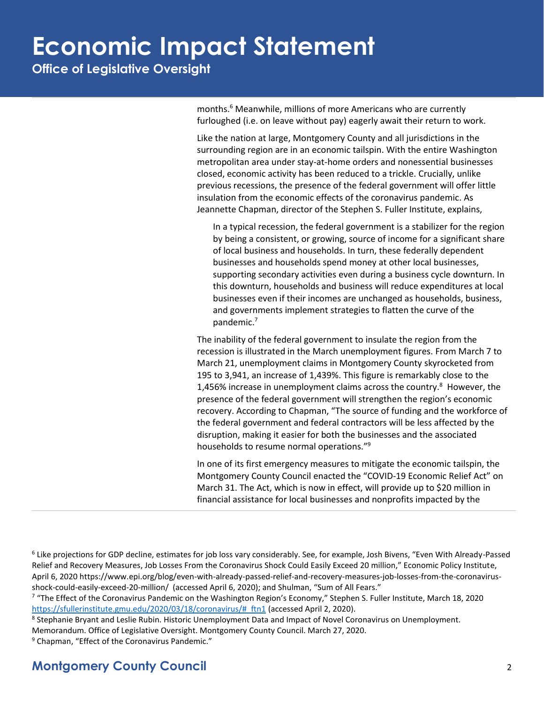**Office of Legislative Oversight**

months. <sup>6</sup> Meanwhile, millions of more Americans who are currently furloughed (i.e. on leave without pay) eagerly await their return to work.

Like the nation at large, Montgomery County and all jurisdictions in the surrounding region are in an economic tailspin. With the entire Washington metropolitan area under stay-at-home orders and nonessential businesses closed, economic activity has been reduced to a trickle. Crucially, unlike previous recessions, the presence of the federal government will offer little insulation from the economic effects of the coronavirus pandemic. As Jeannette Chapman, director of the Stephen S. Fuller Institute, explains,

In a typical recession, the federal government is a stabilizer for the region by being a consistent, or growing, source of income for a significant share of local business and households. In turn, these federally dependent businesses and households spend money at other local businesses, supporting secondary activities even during a business cycle downturn. In this downturn, households and business will reduce expenditures at local businesses even if their incomes are unchanged as households, business, and governments implement strategies to flatten the curve of the pandemic.<sup>7</sup>

The inability of the federal government to insulate the region from the recession is illustrated in the March unemployment figures. From March 7 to March 21, unemployment claims in Montgomery County skyrocketed from 195 to 3,941, an increase of 1,439%. This figure is remarkably close to the 1,456% increase in unemployment claims across the country.<sup>8</sup> However, the presence of the federal government will strengthen the region's economic recovery. According to Chapman, "The source of funding and the workforce of the federal government and federal contractors will be less affected by the disruption, making it easier for both the businesses and the associated households to resume normal operations." 9

In one of its first emergency measures to mitigate the economic tailspin, the Montgomery County Council enacted the "COVID-19 Economic Relief Act" on March 31. The Act, which is now in effect, will provide up to \$20 million in financial assistance for local businesses and nonprofits impacted by the

<sup>6</sup> Like projections for GDP decline, estimates for job loss vary considerably. See, for example, Josh Bivens, "Even With Already-Passed Relief and Recovery Measures, Job Losses From the Coronavirus Shock Could Easily Exceed 20 million," Economic Policy Institute, April 6, 2020 https://www.epi.org/blog/even-with-already-passed-relief-and-recovery-measures-job-losses-from-the-coronavirusshock-could-easily-exceed-20-million/ (accessed April 6, 2020); and Shulman, "Sum of All Fears."

<sup>7</sup> "The Effect of the Coronavirus Pandemic on the Washington Region's Economy," Stephen S. Fuller Institute, March 18, 2020 [https://sfullerinstitute.gmu.edu/2020/03/18/coronavirus/#\\_ftn1](https://sfullerinstitute.gmu.edu/2020/03/18/coronavirus/#_ftn1) (accessed April 2, 2020).

<sup>8</sup> Stephanie Bryant and Leslie Rubin. Historic Unemployment Data and Impact of Novel Coronavirus on Unemployment.

Memorandum. Office of Legislative Oversight. Montgomery County Council. March 27, 2020.

<sup>9</sup> Chapman, "Effect of the Coronavirus Pandemic."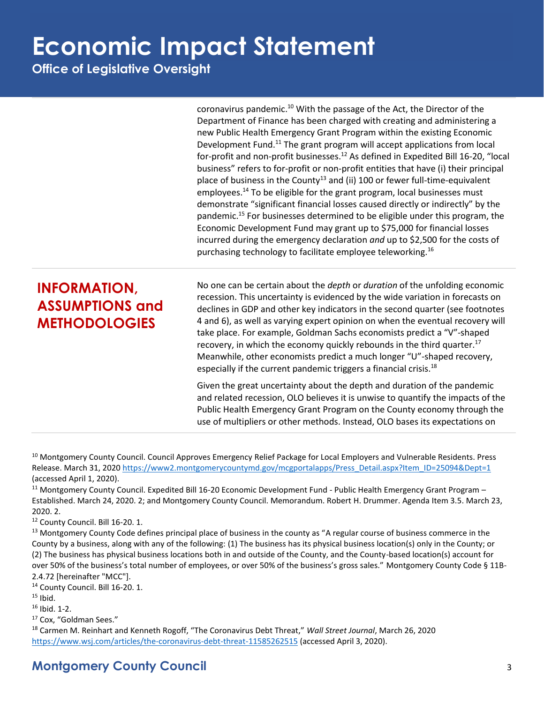**Office of Legislative Oversight**

coronavirus pandemic.<sup>10</sup> With the passage of the Act, the Director of the Department of Finance has been charged with creating and administering a new Public Health Emergency Grant Program within the existing Economic Development Fund.<sup>11</sup> The grant program will accept applications from local for-profit and non-profit businesses.<sup>12</sup> As defined in Expedited Bill 16-20, "local business" refers to for-profit or non-profit entities that have (i) their principal place of business in the County<sup>13</sup> and (ii) 100 or fewer full-time-equivalent employees.<sup>14</sup> To be eligible for the grant program, local businesses must demonstrate "significant financial losses caused directly or indirectly" by the pandemic. <sup>15</sup> For businesses determined to be eligible under this program, the Economic Development Fund may grant up to \$75,000 for financial losses incurred during the emergency declaration *and* up to \$2,500 for the costs of purchasing technology to facilitate employee teleworking.<sup>16</sup>

#### **INFORMATION, ASSUMPTIONS and METHODOLOGIES**

No one can be certain about the *depth* or *duration* of the unfolding economic recession. This uncertainty is evidenced by the wide variation in forecasts on declines in GDP and other key indicators in the second quarter (see footnotes 4 and 6), as well as varying expert opinion on when the eventual recovery will take place. For example, Goldman Sachs economists predict a "V"-shaped recovery, in which the economy quickly rebounds in the third quarter.<sup>17</sup> Meanwhile, other economists predict a much longer "U"-shaped recovery, especially if the current pandemic triggers a financial crisis.<sup>18</sup>

Given the great uncertainty about the depth and duration of the pandemic and related recession, OLO believes it is unwise to quantify the impacts of the Public Health Emergency Grant Program on the County economy through the use of multipliers or other methods. Instead, OLO bases its expectations on

<sup>10</sup> Montgomery County Council. Council Approves Emergency Relief Package for Local Employers and Vulnerable Residents. Press Release. March 31, 2020 [https://www2.montgomerycountymd.gov/mcgportalapps/Press\\_Detail.aspx?Item\\_ID=25094&Dept=1](https://www2.montgomerycountymd.gov/mcgportalapps/Press_Detail.aspx?Item_ID=25094&Dept=1) (accessed April 1, 2020).

<sup>11</sup> Montgomery County Council. Expedited Bill 16-20 Economic Development Fund - Public Health Emergency Grant Program – Established. March 24, 2020. 2; and Montgomery County Council. Memorandum. Robert H. Drummer. Agenda Item 3.5. March 23, 2020. 2.

<sup>12</sup> County Council. Bill 16-20. 1.

<sup>13</sup> Montgomery County Code defines principal place of business in the county as "A regular course of business commerce in the County by a business, along with any of the following: (1) The business has its physical business location(s) only in the County; or (2) The business has physical business locations both in and outside of the County, and the County-based location(s) account for over 50% of the business's total number of employees, or over 50% of the business's gross sales." Montgomery County Code § 11B-2.4.72 [hereinafter "MCC"].

<sup>14</sup> County Council. Bill 16-20. 1.

 $15$  Ibid.

<sup>16</sup> Ibid. 1-2.

<sup>17</sup> Cox, "Goldman Sees."

<sup>18</sup> Carmen M. Reinhart and Kenneth Rogoff, "The Coronavirus Debt Threat," *Wall Street Journal*, March 26, 2020 <https://www.wsj.com/articles/the-coronavirus-debt-threat-11585262515> (accessed April 3, 2020).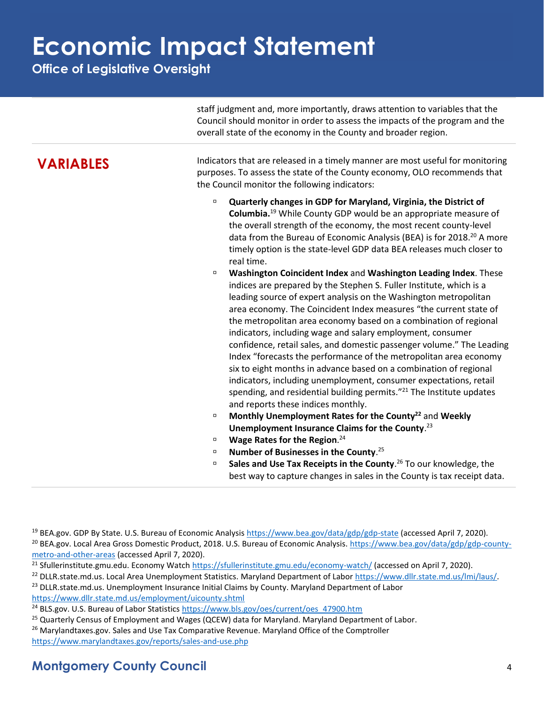**Office of Legislative Oversight**

|                  | staff judgment and, more importantly, draws attention to variables that the<br>Council should monitor in order to assess the impacts of the program and the<br>overall state of the economy in the County and broader region.                                                                                                                                                                                                                                                                                                                                                                                                                                                                                                                                                                                                                                                                                                                                                                                                                                                                                                                                                                                                                                                                                                                                                                                                                                                                                                   |
|------------------|---------------------------------------------------------------------------------------------------------------------------------------------------------------------------------------------------------------------------------------------------------------------------------------------------------------------------------------------------------------------------------------------------------------------------------------------------------------------------------------------------------------------------------------------------------------------------------------------------------------------------------------------------------------------------------------------------------------------------------------------------------------------------------------------------------------------------------------------------------------------------------------------------------------------------------------------------------------------------------------------------------------------------------------------------------------------------------------------------------------------------------------------------------------------------------------------------------------------------------------------------------------------------------------------------------------------------------------------------------------------------------------------------------------------------------------------------------------------------------------------------------------------------------|
| <b>VARIABLES</b> | Indicators that are released in a timely manner are most useful for monitoring<br>purposes. To assess the state of the County economy, OLO recommends that<br>the Council monitor the following indicators:                                                                                                                                                                                                                                                                                                                                                                                                                                                                                                                                                                                                                                                                                                                                                                                                                                                                                                                                                                                                                                                                                                                                                                                                                                                                                                                     |
|                  | Quarterly changes in GDP for Maryland, Virginia, the District of<br>$\Box$<br>Columbia. <sup>19</sup> While County GDP would be an appropriate measure of<br>the overall strength of the economy, the most recent county-level<br>data from the Bureau of Economic Analysis (BEA) is for 2018. <sup>20</sup> A more<br>timely option is the state-level GDP data BEA releases much closer to<br>real time.<br>Washington Coincident Index and Washington Leading Index. These<br>$\Box$<br>indices are prepared by the Stephen S. Fuller Institute, which is a<br>leading source of expert analysis on the Washington metropolitan<br>area economy. The Coincident Index measures "the current state of<br>the metropolitan area economy based on a combination of regional<br>indicators, including wage and salary employment, consumer<br>confidence, retail sales, and domestic passenger volume." The Leading<br>Index "forecasts the performance of the metropolitan area economy<br>six to eight months in advance based on a combination of regional<br>indicators, including unemployment, consumer expectations, retail<br>spending, and residential building permits." <sup>21</sup> The Institute updates<br>and reports these indices monthly.<br>Monthly Unemployment Rates for the County <sup>22</sup> and Weekly<br>$\Box$<br>Unemployment Insurance Claims for the County. <sup>23</sup><br>Wage Rates for the Region. <sup>24</sup><br>$\Box$<br>Number of Businesses in the County. <sup>25</sup><br>$\Box$ |

 **Sales and Use Tax Receipts in the County**. <sup>26</sup> To our knowledge, the best way to capture changes in sales in the County is tax receipt data.

<https://www.dllr.state.md.us/employment/uicounty.shtml>

```
 https://www.bls.gov/oes/current/oes_47900.htm
```
<https://www.marylandtaxes.gov/reports/sales-and-use.php>

<sup>&</sup>lt;sup>19</sup> BEA.gov. GDP By State. U.S. Bureau of Economic Analysis<https://www.bea.gov/data/gdp/gdp-state> (accessed April 7, 2020). <sup>20</sup> BEA.gov. Local Area Gross Domestic Product, 2018. U.S. Bureau of Economic Analysis. [https://www.bea.gov/data/gdp/gdp-county](https://www.bea.gov/data/gdp/gdp-county-metro-and-other-areas)[metro-and-other-areas](https://www.bea.gov/data/gdp/gdp-county-metro-and-other-areas) (accessed April 7, 2020).

<sup>&</sup>lt;sup>21</sup> Sfullerinstitute.gmu.edu. Economy Watch<https://sfullerinstitute.gmu.edu/economy-watch/> (accessed on April 7, 2020).

<sup>&</sup>lt;sup>22</sup> DLLR.state.md.us. Local Area Unemployment Statistics. Maryland Department of Labor [https://www.dllr.state.md.us/lmi/laus/.](https://www.dllr.state.md.us/lmi/laus/) <sup>23</sup> DLLR.state.md.us. Unemployment Insurance Initial Claims by County. Maryland Department of Labor

<sup>&</sup>lt;sup>25</sup> Quarterly Census of Employment and Wages (QCEW) data for Maryland. Maryland Department of Labor.

<sup>&</sup>lt;sup>26</sup> Marylandtaxes.gov. Sales and Use Tax Comparative Revenue. Maryland Office of the Comptroller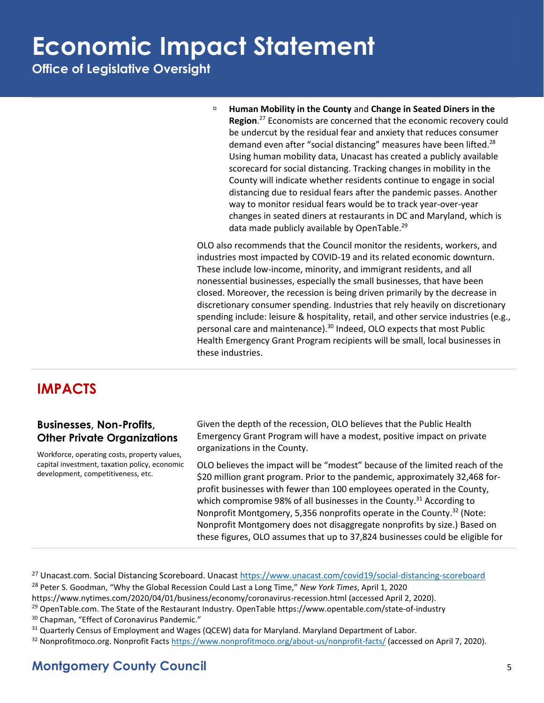**Office of Legislative Oversight**

 **Human Mobility in the County** and **Change in Seated Diners in the Region**. <sup>27</sup> Economists are concerned that the economic recovery could be undercut by the residual fear and anxiety that reduces consumer demand even after "social distancing" measures have been lifted.<sup>28</sup> Using human mobility data, Unacast has created a publicly available scorecard for social distancing. Tracking changes in mobility in the County will indicate whether residents continue to engage in social distancing due to residual fears after the pandemic passes. Another way to monitor residual fears would be to track year-over-year changes in seated diners at restaurants in DC and Maryland, which is data made publicly available by OpenTable.<sup>29</sup>

OLO also recommends that the Council monitor the residents, workers, and industries most impacted by COVID-19 and its related economic downturn. These include low-income, minority, and immigrant residents, and all nonessential businesses, especially the small businesses, that have been closed. Moreover, the recession is being driven primarily by the decrease in discretionary consumer spending. Industries that rely heavily on discretionary spending include: leisure & hospitality, retail, and other service industries (e.g., personal care and maintenance).<sup>30</sup> Indeed, OLO expects that most Public Health Emergency Grant Program recipients will be small, local businesses in these industries.

#### **IMPACTS**

#### **Businesses, Non-Profits, Other Private Organizations**

Workforce, operating costs, property values, capital investment, taxation policy, economic development, competitiveness, etc.

Given the depth of the recession, OLO believes that the Public Health Emergency Grant Program will have a modest, positive impact on private organizations in the County.

OLO believes the impact will be "modest" because of the limited reach of the \$20 million grant program. Prior to the pandemic, approximately 32,468 forprofit businesses with fewer than 100 employees operated in the County, which compromise 98% of all businesses in the County.<sup>31</sup> According to Nonprofit Montgomery, 5,356 nonprofits operate in the County. <sup>32</sup> (Note: Nonprofit Montgomery does not disaggregate nonprofits by size.) Based on these figures, OLO assumes that up to 37,824 businesses could be eligible for

- <sup>27</sup> Unacast.com. Social Distancing Scoreboard. Unacast<https://www.unacast.com/covid19/social-distancing-scoreboard> <sup>28</sup> Peter S. Goodman, "Why the Global Recession Could Last a Long Time," *New York Times*, April 1, 2020
- <https://www.nytimes.com/2020/04/01/business/economy/coronavirus-recession.html> (accessed April 2, 2020).
- <sup>29</sup> OpenTable.com. The State of the Restaurant Industry. OpenTable https://www.opentable.com/state-of-industry
- <sup>30</sup> Chapman, "Effect of Coronavirus Pandemic."
- <sup>31</sup> Quarterly Census of Employment and Wages (QCEW) data for Maryland. Maryland Department of Labor.
- $32$  Nonprofitmoco.org. Nonprofit Facts<https://www.nonprofitmoco.org/about-us/nonprofit-facts/> (accessed on April 7, 2020).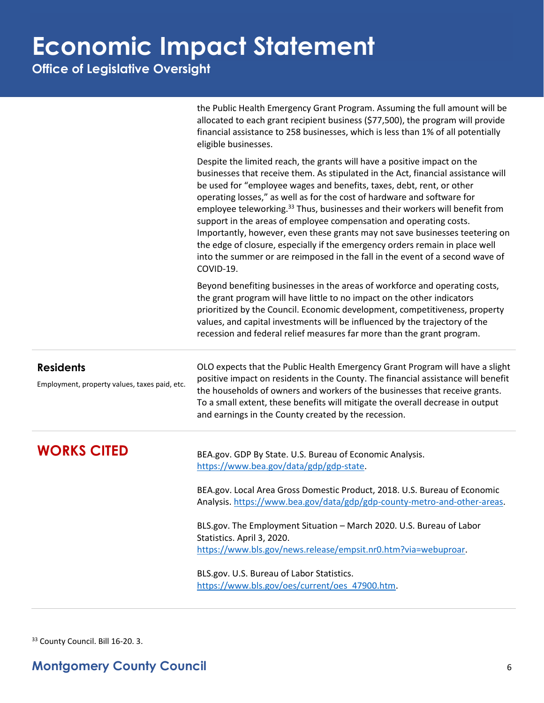**Office of Legislative Oversight**

|                                                                   | the Public Health Emergency Grant Program. Assuming the full amount will be<br>allocated to each grant recipient business (\$77,500), the program will provide<br>financial assistance to 258 businesses, which is less than 1% of all potentially<br>eligible businesses.                                                                                                                                                                                                                                                                                                                                                                                                                                                                        |
|-------------------------------------------------------------------|---------------------------------------------------------------------------------------------------------------------------------------------------------------------------------------------------------------------------------------------------------------------------------------------------------------------------------------------------------------------------------------------------------------------------------------------------------------------------------------------------------------------------------------------------------------------------------------------------------------------------------------------------------------------------------------------------------------------------------------------------|
|                                                                   | Despite the limited reach, the grants will have a positive impact on the<br>businesses that receive them. As stipulated in the Act, financial assistance will<br>be used for "employee wages and benefits, taxes, debt, rent, or other<br>operating losses," as well as for the cost of hardware and software for<br>employee teleworking. <sup>33</sup> Thus, businesses and their workers will benefit from<br>support in the areas of employee compensation and operating costs.<br>Importantly, however, even these grants may not save businesses teetering on<br>the edge of closure, especially if the emergency orders remain in place well<br>into the summer or are reimposed in the fall in the event of a second wave of<br>COVID-19. |
|                                                                   | Beyond benefiting businesses in the areas of workforce and operating costs,<br>the grant program will have little to no impact on the other indicators<br>prioritized by the Council. Economic development, competitiveness, property<br>values, and capital investments will be influenced by the trajectory of the<br>recession and federal relief measures far more than the grant program.                                                                                                                                                                                                                                                                                                                                                    |
| <b>Residents</b><br>Employment, property values, taxes paid, etc. | OLO expects that the Public Health Emergency Grant Program will have a slight<br>positive impact on residents in the County. The financial assistance will benefit<br>the households of owners and workers of the businesses that receive grants.<br>To a small extent, these benefits will mitigate the overall decrease in output<br>and earnings in the County created by the recession.                                                                                                                                                                                                                                                                                                                                                       |
| <b>WORKS CITED</b>                                                | BEA.gov. GDP By State. U.S. Bureau of Economic Analysis.<br>https://www.bea.gov/data/gdp/gdp-state.<br>BEA.gov. Local Area Gross Domestic Product, 2018. U.S. Bureau of Economic<br>Analysis. https://www.bea.gov/data/gdp/gdp-county-metro-and-other-areas.<br>BLS.gov. The Employment Situation - March 2020. U.S. Bureau of Labor<br>Statistics. April 3, 2020.<br>https://www.bls.gov/news.release/empsit.nr0.htm?via=webuproar.<br>BLS.gov. U.S. Bureau of Labor Statistics.<br>https://www.bls.gov/oes/current/oes 47900.htm.                                                                                                                                                                                                               |

<sup>33</sup> County Council. Bill 16-20. 3.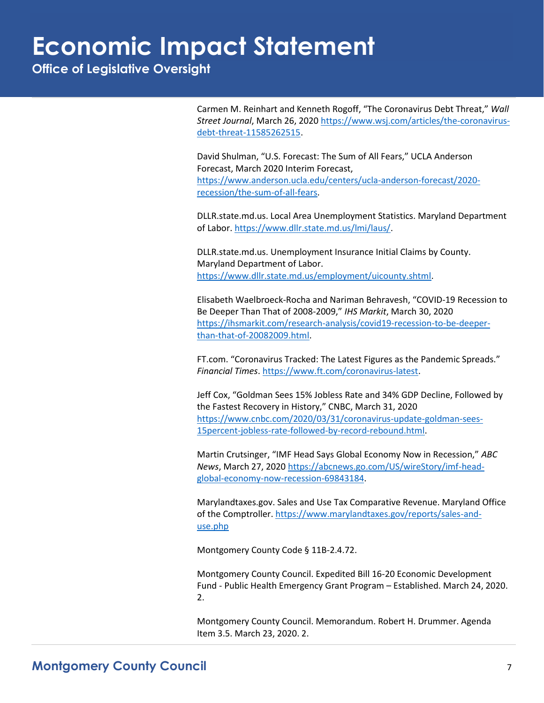**Office of Legislative Oversight**

Carmen M. Reinhart and Kenneth Rogoff, "The Coronavirus Debt Threat," *Wall Street Journal*, March 26, 2020 [https://www.wsj.com/articles/the-coronavirus](https://www.wsj.com/articles/the-coronavirus-debt-threat-11585262515)[debt-threat-11585262515.](https://www.wsj.com/articles/the-coronavirus-debt-threat-11585262515)

David Shulman, "U.S. Forecast: The Sum of All Fears," UCLA Anderson Forecast, March 2020 Interim Forecast, [https://www.anderson.ucla.edu/centers/ucla-anderson-forecast/2020](https://www.anderson.ucla.edu/centers/ucla-anderson-forecast/2020-recession/the-sum-of-all-fears) [recession/the-sum-of-all-fears.](https://www.anderson.ucla.edu/centers/ucla-anderson-forecast/2020-recession/the-sum-of-all-fears)

DLLR.state.md.us. Local Area Unemployment Statistics. Maryland Department of Labor. [https://www.dllr.state.md.us/lmi/laus/.](https://www.dllr.state.md.us/lmi/laus/)

DLLR.state.md.us. Unemployment Insurance Initial Claims by County. Maryland Department of Labor. [https://www.dllr.state.md.us/employment/uicounty.shtml.](https://www.dllr.state.md.us/employment/uicounty.shtml)

Elisabeth Waelbroeck-Rocha and Nariman Behravesh, "COVID-19 Recession to Be Deeper Than That of 2008-2009," *IHS Markit*, March 30, 2020 [https://ihsmarkit.com/research-analysis/covid19-recession-to-be-deeper](https://ihsmarkit.com/research-analysis/covid19-recession-to-be-deeper-than-that-of-20082009.html)[than-that-of-20082009.html.](https://ihsmarkit.com/research-analysis/covid19-recession-to-be-deeper-than-that-of-20082009.html)

FT.com. "Coronavirus Tracked: The Latest Figures as the Pandemic Spreads." *Financial Times*[. https://www.ft.com/coronavirus-latest.](https://www.ft.com/coronavirus-latest)

Jeff Cox, "Goldman Sees 15% Jobless Rate and 34% GDP Decline, Followed by the Fastest Recovery in History," CNBC, March 31, 2020 [https://www.cnbc.com/2020/03/31/coronavirus-update-goldman-sees-](https://www.cnbc.com/2020/03/31/coronavirus-update-goldman-sees-15percent-jobless-rate-followed-by-record-rebound.html)[15percent-jobless-rate-followed-by-record-rebound.html.](https://www.cnbc.com/2020/03/31/coronavirus-update-goldman-sees-15percent-jobless-rate-followed-by-record-rebound.html)

Martin Crutsinger, "IMF Head Says Global Economy Now in Recession," *ABC News*, March 27, 2020 [https://abcnews.go.com/US/wireStory/imf-head](https://abcnews.go.com/US/wireStory/imf-head-global-economy-now-recession-69843184)[global-economy-now-recession-69843184.](https://abcnews.go.com/US/wireStory/imf-head-global-economy-now-recession-69843184)

Marylandtaxes.gov. Sales and Use Tax Comparative Revenue. Maryland Office of the Comptroller. [https://www.marylandtaxes.gov/reports/sales-and](https://www.marylandtaxes.gov/reports/sales-and-use.php)[use.php](https://www.marylandtaxes.gov/reports/sales-and-use.php)

Montgomery County Code § 11B-2.4.72.

Montgomery County Council. Expedited Bill 16-20 Economic Development Fund - Public Health Emergency Grant Program – Established. March 24, 2020. 2.

Montgomery County Council. Memorandum. Robert H. Drummer. Agenda Item 3.5. March 23, 2020. 2.